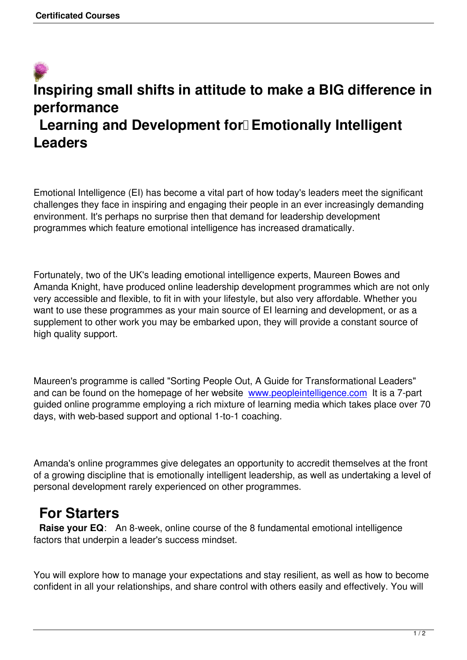# **Inspiring small shifts in attitude to make a BIG difference in performance** Learning and Development for<sup>[</sup>] Emotionally Intelligent **Leaders**

Emotional Intelligence (EI) has become a vital part of how today's leaders meet the significant challenges they face in inspiring and engaging their people in an ever increasingly demanding environment. It's perhaps no surprise then that demand for leadership development programmes which feature emotional intelligence has increased dramatically.

Fortunately, two of the UK's leading emotional intelligence experts, Maureen Bowes and Amanda Knight, have produced online leadership development programmes which are not only very accessible and flexible, to fit in with your lifestyle, but also very affordable. Whether you want to use these programmes as your main source of EI learning and development, or as a supplement to other work you may be embarked upon, they will provide a constant source of high quality support.

Maureen's programme is called "Sorting People Out, A Guide for Transformational Leaders" and can be found on the homepage of her website www.peopleintelligence.com It is a 7-part guided online programme employing a rich mixture of learning media which takes place over 70 days, with web-based support and optional 1-to-1 coaching.

Amanda's online programmes give delegates an opportunity to accredit themselves at the front of a growing discipline that is emotionally intelligent leadership, as well as undertaking a level of personal development rarely experienced on other programmes.

## **For Starters**

 **Raise your EQ**: An 8-week, online course of the 8 fundamental emotional intelligence factors that underpin a leader's success mindset.

You will explore how to manage your expectations and stay resilient, as well as how to become confident in all your relationships, and share control with others easily and effectively. You will